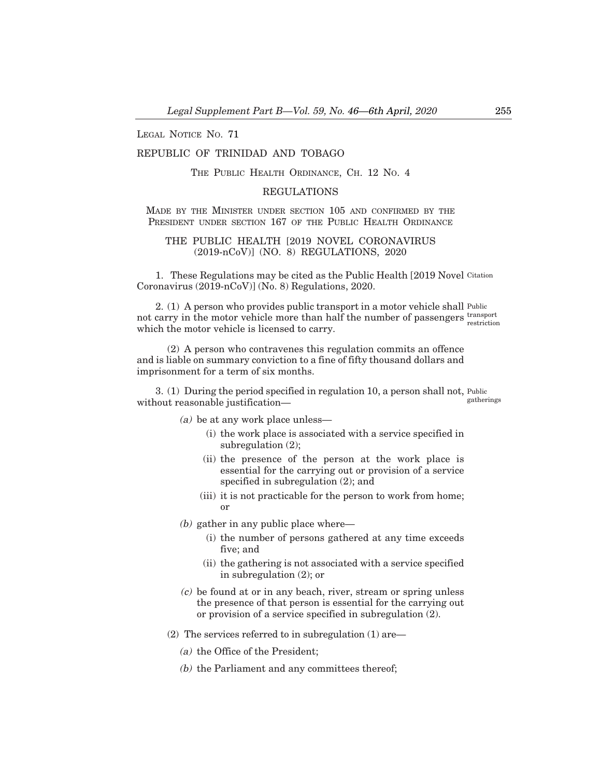LEGAL NOTICE NO. 71

# REPUBLIC OF TRINIDAD AND TOBAGO

# THE PUBLIC HEALTH ORDINANCE, CH. 12 NO. 4

#### REGULATIONS

### MADE BY THE MINISTER UNDER SECTION 105 AND CONFIRMED BY THE PRESIDENT UNDER SECTION 167 OF THE PUBLIC HEALTH ORDINANCE

### THE PUBLIC HEALTH [2019 NOVEL CORONAVIRUS (2019-nCoV)] (NO. 8) REGULATIONS, 2020

1. These Regulations may be cited as the Public Health [2019 Novel Citation Coronavirus (2019-nCoV)] (No. 8) Regulations, 2020.

2. (1) A person who provides public transport in a motor vehicle shall Public not carry in the motor vehicle more than half the number of passengers transport which the motor vehicle is licensed to carry. restriction

(2) A person who contravenes this regulation commits an offence and is liable on summary conviction to a fine of fifty thousand dollars and imprisonment for a term of six months.

3. (1) During the period specified in regulation 10, a person shall not, Public without reasonable justification– gatherings

(a) be at any work place unless—

- (i) the work place is associated with a service specified in subregulation (2);
- (ii) the presence of the person at the work place is essential for the carrying out or provision of a service specified in subregulation (2); and
- (iii) it is not practicable for the person to work from home; or
- $(b)$  gather in any public place where—
	- (i) the number of persons gathered at any time exceeds five; and
	- (ii) the gathering is not associated with a service specified in subregulation (2); or
- (c) be found at or in any beach, river, stream or spring unless the presence of that person is essential for the carrying out or provision of a service specified in subregulation (2).
- (2) The services referred to in subregulation  $(1)$  are—
	- (a) the Office of the President;
	- (b) the Parliament and any committees thereof;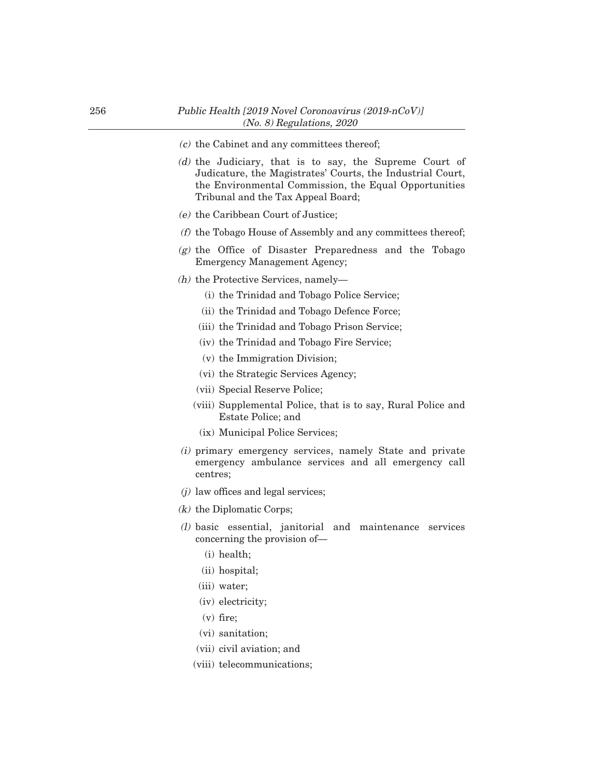- (c) the Cabinet and any committees thereof;
- (d) the Judiciary, that is to say, the Supreme Court of Judicature, the Magistrates' Courts, the Industrial Court, the Environmental Commission, the Equal Opportunities Tribunal and the Tax Appeal Board;
- (e) the Caribbean Court of Justice;
- (f) the Tobago House of Assembly and any committees thereof;
- $(g)$  the Office of Disaster Preparedness and the Tobago Emergency Management Agency;
- $(h)$  the Protective Services, namely-
	- (i) the Trinidad and Tobago Police Service;
	- (ii) the Trinidad and Tobago Defence Force;
	- (iii) the Trinidad and Tobago Prison Service;
	- (iv) the Trinidad and Tobago Fire Service;
	- (v) the Immigration Division;
	- (vi) the Strategic Services Agency;
	- (vii) Special Reserve Police;
	- (viii) Supplemental Police, that is to say, Rural Police and Estate Police; and
	- (ix) Municipal Police Services;
- (i) primary emergency services, namely State and private emergency ambulance services and all emergency call centres;
- $(j)$  law offices and legal services;
- (k) the Diplomatic Corps;
- (l) basic essential, janitorial and maintenance services concerning the provision of–
	- (i) health;
	- (ii) hospital;
	- (iii) water;
	- (iv) electricity;
	- (v) fire;
	- (vi) sanitation;
	- (vii) civil aviation; and
	- (viii) telecommunications;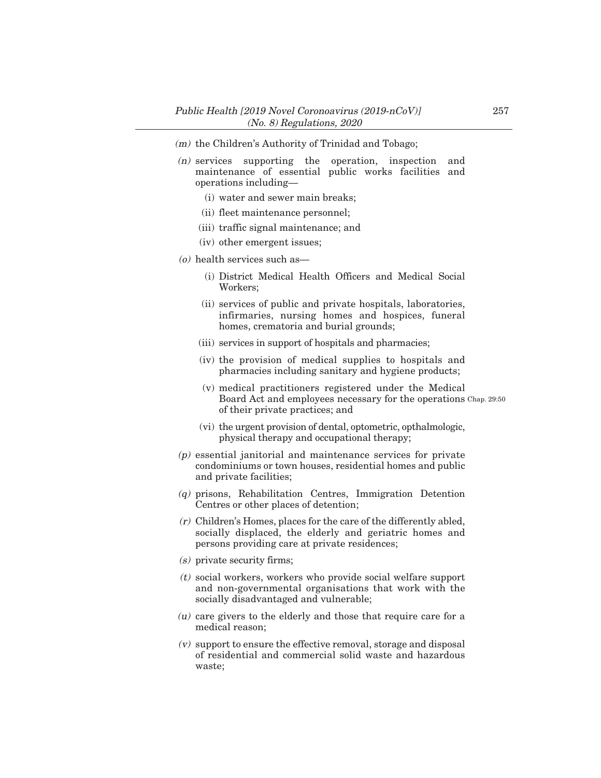- (m) the Children's Authority of Trinidad and Tobago;
- (n) services supporting the operation, inspection and maintenance of essential public works facilities and operations including–
	- (i) water and sewer main breaks;
	- (ii) fleet maintenance personnel;
	- (iii) traffic signal maintenance; and
	- (iv) other emergent issues;
- (o) health services such as–
	- (i) District Medical Health Officers and Medical Social Workers;
	- (ii) services of public and private hospitals, laboratories, infirmaries, nursing homes and hospices, funeral homes, crematoria and burial grounds;
	- (iii) services in support of hospitals and pharmacies;
	- (iv) the provision of medical supplies to hospitals and pharmacies including sanitary and hygiene products;
	- (v) medical practitioners registered under the Medical Board Act and employees necessary for the operations Chap. 29:50of their private practices; and
	- (vi) the urgent provision of dental, optometric, opthalmologic, physical therapy and occupational therapy;
- (p) essential janitorial and maintenance services for private condominiums or town houses, residential homes and public and private facilities;
- (q) prisons, Rehabilitation Centres, Immigration Detention Centres or other places of detention;
- (r) Children's Homes, places for the care of the differently abled, socially displaced, the elderly and geriatric homes and persons providing care at private residences;
- $(s)$  private security firms;
- $(t)$  social workers, workers who provide social welfare support and non-governmental organisations that work with the socially disadvantaged and vulnerable;
- (u) care givers to the elderly and those that require care for a medical reason;
- (v) support to ensure the effective removal, storage and disposal of residential and commercial solid waste and hazardous waste;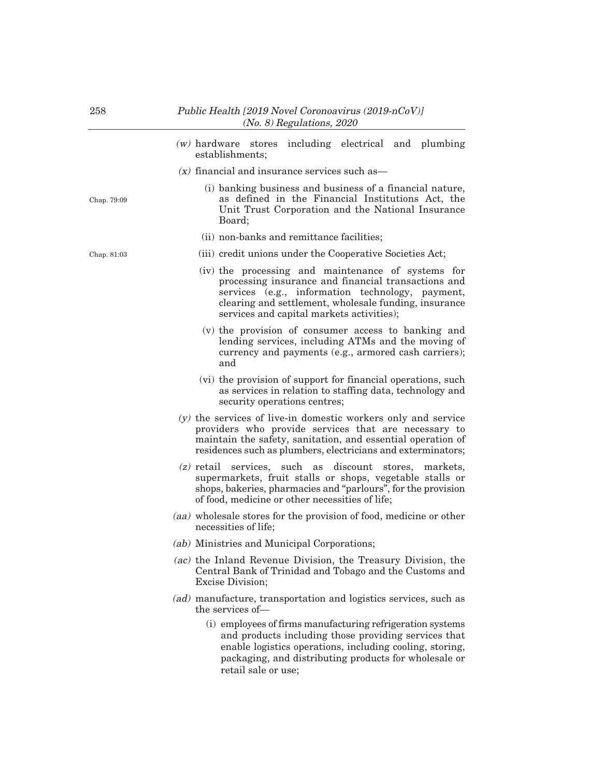(w) hardware stores including electrical and plumbing establishments;  $(x)$  financial and insurance services such as— (i) banking business and business of a financial nature, as defined in the Financial Institutions Act, the Unit Trust Corporation and the National Insurance Board; (ii) non-banks and remittance facilities; (iii) credit unions under the Cooperative Societies Act; (iv) the processing and maintenance of systems for processing insurance and financial transactions and services (e.g., information technology, payment, clearing and settlement, wholesale funding, insurance services and capital markets activities); (v) the provision of consumer access to banking and lending services, including ATMs and the moving of currency and payments (e.g., armored cash carriers); and (vi) the provision of support for financial operations, such as services in relation to staffing data, technology and security operations centres; (y) the services of live-in domestic workers only and service providers who provide services that are necessary to maintain the safety, sanitation, and essential operation of residences such as plumbers, electricians and exterminators; (z) retail services, such as discount stores, markets, supermarkets, fruit stalls or shops, vegetable stalls or shops, bakeries, pharmacies and "parlours", for the provision of food, medicine or other necessities of life; (aa) wholesale stores for the provision of food, medicine or other necessities of life; (ab) Ministries and Municipal Corporations; (ac) the Inland Revenue Division, the Treasury Division, the Central Bank of Trinidad and Tobago and the Customs and Excise Division; (ad) manufacture, transportation and logistics services, such as the services of– (i) employees of firms manufacturing refrigeration systems and products including those providing services that enable logistics operations, including cooling, storing, packaging, and distributing products for wholesale or retail sale or use; Chap. 81:03 Chap. 79:09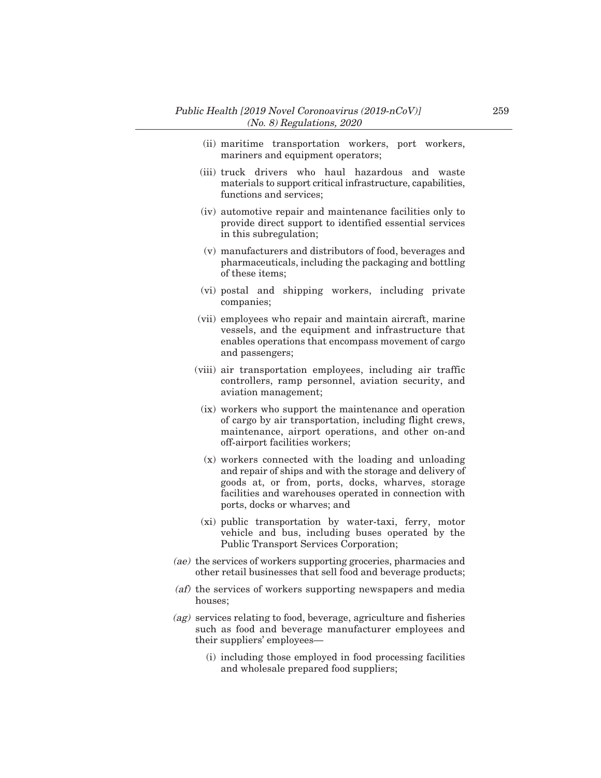- (ii) maritime transportation workers, port workers, mariners and equipment operators;
- (iii) truck drivers who haul hazardous and waste materials to support critical infrastructure, capabilities, functions and services;
- (iv) automotive repair and maintenance facilities only to provide direct support to identified essential services in this subregulation;
- (v) manufacturers and distributors of food, beverages and pharmaceuticals, including the packaging and bottling of these items;
- (vi) postal and shipping workers, including private companies;
- (vii) employees who repair and maintain aircraft, marine vessels, and the equipment and infrastructure that enables operations that encompass movement of cargo and passengers;
- (viii) air transportation employees, including air traffic controllers, ramp personnel, aviation security, and aviation management;
- (ix) workers who support the maintenance and operation of cargo by air transportation, including flight crews, maintenance, airport operations, and other on-and off-airport facilities workers;
- (x) workers connected with the loading and unloading and repair of ships and with the storage and delivery of goods at, or from, ports, docks, wharves, storage facilities and warehouses operated in connection with ports, docks or wharves; and
- (xi) public transportation by water-taxi, ferry, motor vehicle and bus, including buses operated by the Public Transport Services Corporation;
- (ae) the services of workers supporting groceries, pharmacies and other retail businesses that sell food and beverage products;
- (af) the services of workers supporting newspapers and media houses;
- (ag) services relating to food, beverage, agriculture and fisheries such as food and beverage manufacturer employees and their suppliers' employees–
	- (i) including those employed in food processing facilities and wholesale prepared food suppliers;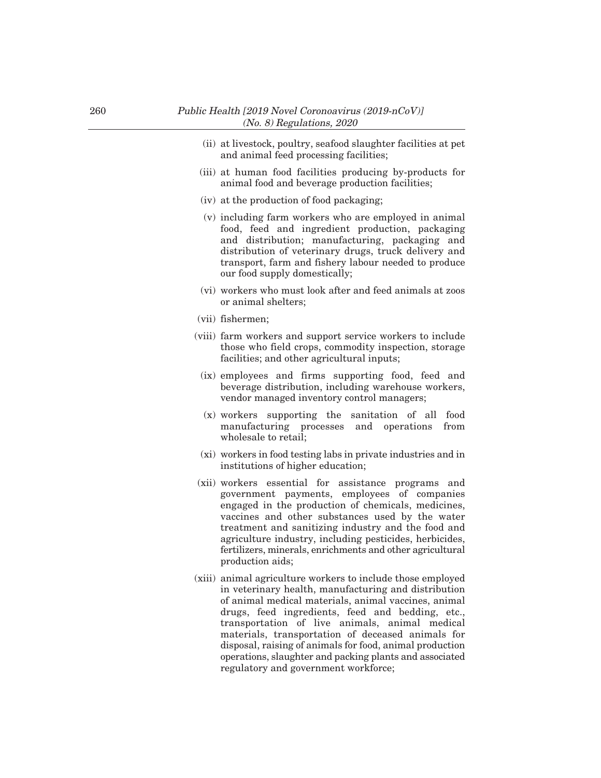- (ii) at livestock, poultry, seafood slaughter facilities at pet and animal feed processing facilities;
- (iii) at human food facilities producing by-products for animal food and beverage production facilities;
- (iv) at the production of food packaging;
- (v) including farm workers who are employed in animal food, feed and ingredient production, packaging and distribution; manufacturing, packaging and distribution of veterinary drugs, truck delivery and transport, farm and fishery labour needed to produce our food supply domestically;
- (vi) workers who must look after and feed animals at zoos or animal shelters;
- (vii) fishermen;
- (viii) farm workers and support service workers to include those who field crops, commodity inspection, storage facilities; and other agricultural inputs;
- (ix) employees and firms supporting food, feed and beverage distribution, including warehouse workers, vendor managed inventory control managers;
- (x) workers supporting the sanitation of all food manufacturing processes and operations from wholesale to retail;
- (xi) workers in food testing labs in private industries and in institutions of higher education;
- (xii) workers essential for assistance programs and government payments, employees of companies engaged in the production of chemicals, medicines, vaccines and other substances used by the water treatment and sanitizing industry and the food and agriculture industry, including pesticides, herbicides, fertilizers, minerals, enrichments and other agricultural production aids;
- (xiii) animal agriculture workers to include those employed in veterinary health, manufacturing and distribution of animal medical materials, animal vaccines, animal drugs, feed ingredients, feed and bedding, etc., transportation of live animals, animal medical materials, transportation of deceased animals for disposal, raising of animals for food, animal production operations, slaughter and packing plants and associated regulatory and government workforce;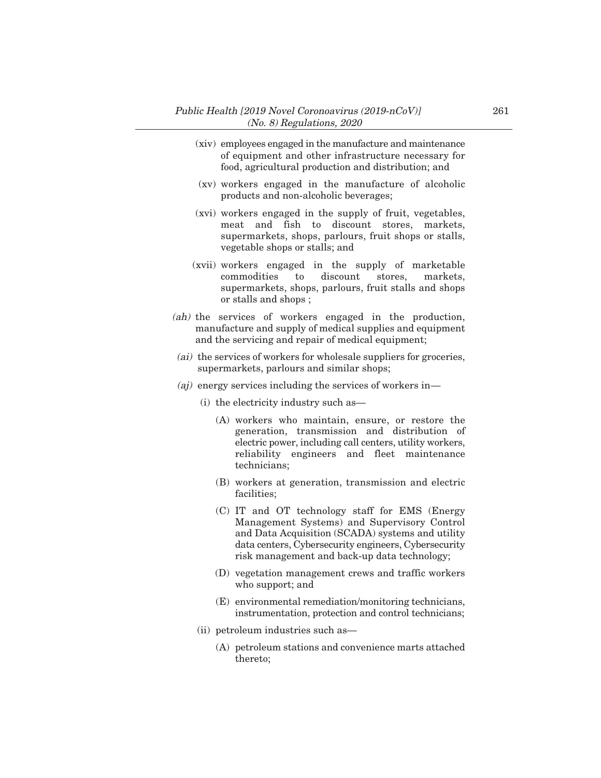- (xiv) employees engaged in the manufacture and maintenance of equipment and other infrastructure necessary for food, agricultural production and distribution; and
- (xv) workers engaged in the manufacture of alcoholic products and non-alcoholic beverages;
- (xvi) workers engaged in the supply of fruit, vegetables, meat and fish to discount stores, markets, supermarkets, shops, parlours, fruit shops or stalls, vegetable shops or stalls; and
- (xvii) workers engaged in the supply of marketable commodities to discount stores, markets, supermarkets, shops, parlours, fruit stalls and shops or stalls and shops ;
- (ah) the services of workers engaged in the production, manufacture and supply of medical supplies and equipment and the servicing and repair of medical equipment;
- (ai) the services of workers for wholesale suppliers for groceries, supermarkets, parlours and similar shops;
- (*aj*) energy services including the services of workers in-
	- (i) the electricity industry such as–
		- (A) workers who maintain, ensure, or restore the generation, transmission and distribution of electric power, including call centers, utility workers, reliability engineers and fleet maintenance technicians;
		- (B) workers at generation, transmission and electric facilities;
		- (C) IT and OT technology staff for EMS (Energy Management Systems) and Supervisory Control and Data Acquisition (SCADA) systems and utility data centers, Cybersecurity engineers, Cybersecurity risk management and back-up data technology;
		- (D) vegetation management crews and traffic workers who support; and
		- (E) environmental remediation/monitoring technicians, instrumentation, protection and control technicians;
	- (ii) petroleum industries such as–
		- (A) petroleum stations and convenience marts attached thereto;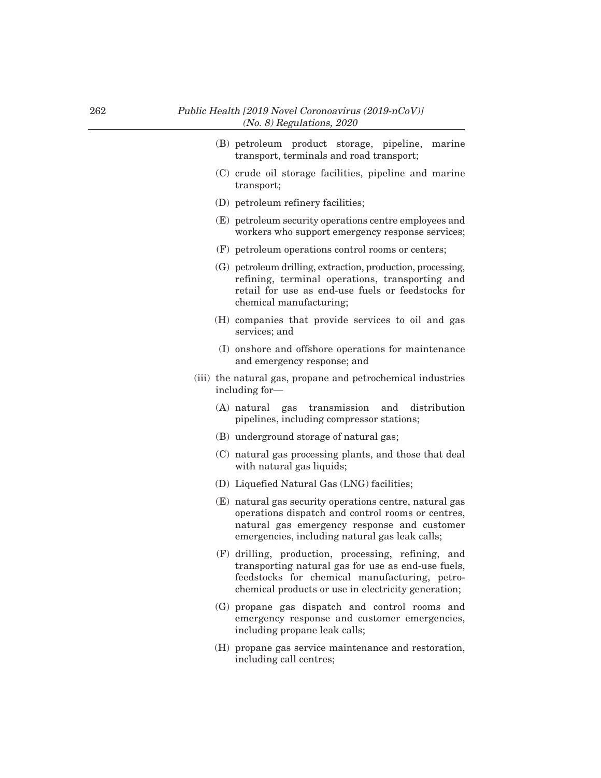- (B) petroleum product storage, pipeline, marine transport, terminals and road transport;
- (C) crude oil storage facilities, pipeline and marine transport;
- (D) petroleum refinery facilities;
- (E) petroleum security operations centre employees and workers who support emergency response services;
- (F) petroleum operations control rooms or centers;
- (G) petroleum drilling, extraction, production, processing, refining, terminal operations, transporting and retail for use as end-use fuels or feedstocks for chemical manufacturing;
- (H) companies that provide services to oil and gas services; and
- (I) onshore and offshore operations for maintenance and emergency response; and
- (iii) the natural gas, propane and petrochemical industries including for–
	- (A) natural gas transmission and distribution pipelines, including compressor stations;
	- (B) underground storage of natural gas;
	- (C) natural gas processing plants, and those that deal with natural gas liquids;
	- (D) Liquefied Natural Gas (LNG) facilities;
	- (E) natural gas security operations centre, natural gas operations dispatch and control rooms or centres, natural gas emergency response and customer emergencies, including natural gas leak calls;
	- (F) drilling, production, processing, refining, and transporting natural gas for use as end-use fuels, feedstocks for chemical manufacturing, petrochemical products or use in electricity generation;
	- (G) propane gas dispatch and control rooms and emergency response and customer emergencies, including propane leak calls;
	- (H) propane gas service maintenance and restoration, including call centres;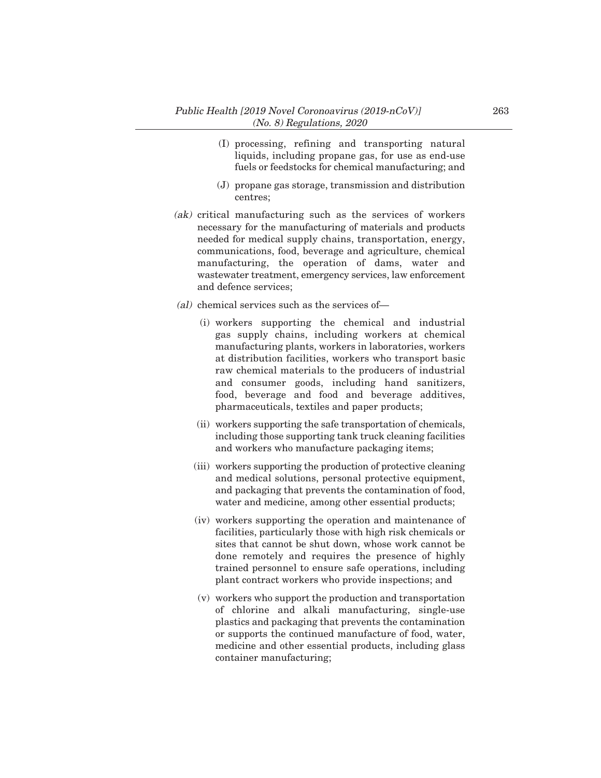- (I) processing, refining and transporting natural liquids, including propane gas, for use as end-use fuels or feedstocks for chemical manufacturing; and
- (J) propane gas storage, transmission and distribution centres;
- (ak) critical manufacturing such as the services of workers necessary for the manufacturing of materials and products needed for medical supply chains, transportation, energy, communications, food, beverage and agriculture, chemical manufacturing, the operation of dams, water and wastewater treatment, emergency services, law enforcement and defence services;
- (al) chemical services such as the services of–
	- (i) workers supporting the chemical and industrial gas supply chains, including workers at chemical manufacturing plants, workers in laboratories, workers at distribution facilities, workers who transport basic raw chemical materials to the producers of industrial and consumer goods, including hand sanitizers, food, beverage and food and beverage additives, pharmaceuticals, textiles and paper products;
	- (ii) workers supporting the safe transportation of chemicals, including those supporting tank truck cleaning facilities and workers who manufacture packaging items;
	- (iii) workers supporting the production of protective cleaning and medical solutions, personal protective equipment, and packaging that prevents the contamination of food, water and medicine, among other essential products;
	- (iv) workers supporting the operation and maintenance of facilities, particularly those with high risk chemicals or sites that cannot be shut down, whose work cannot be done remotely and requires the presence of highly trained personnel to ensure safe operations, including plant contract workers who provide inspections; and
	- (v) workers who support the production and transportation of chlorine and alkali manufacturing, single-use plastics and packaging that prevents the contamination or supports the continued manufacture of food, water, medicine and other essential products, including glass container manufacturing;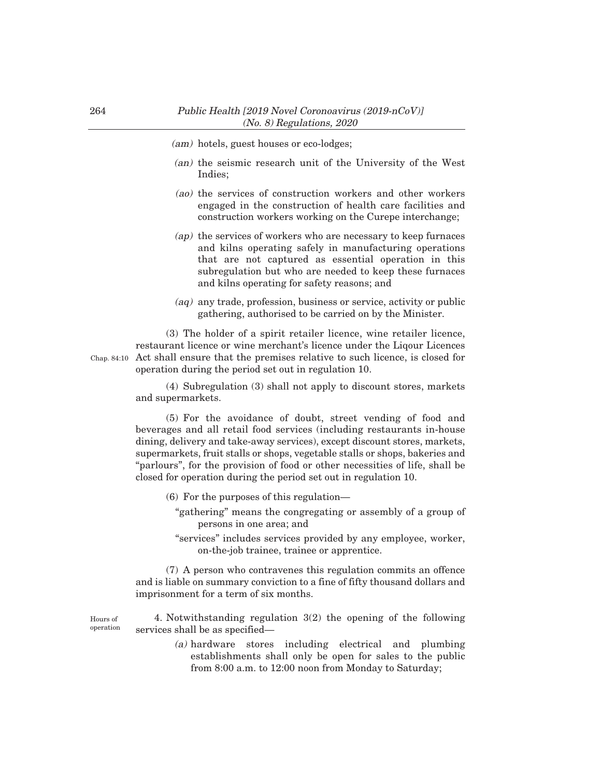- (am) hotels, guest houses or eco-lodges;
- (an) the seismic research unit of the University of the West Indies;
- (ao) the services of construction workers and other workers engaged in the construction of health care facilities and construction workers working on the Curepe interchange;
- (ap) the services of workers who are necessary to keep furnaces and kilns operating safely in manufacturing operations that are not captured as essential operation in this subregulation but who are needed to keep these furnaces and kilns operating for safety reasons; and
- (aq) any trade, profession, business or service, activity or public gathering, authorised to be carried on by the Minister.

(3) The holder of a spirit retailer licence, wine retailer licence, restaurant licence or wine merchant's licence under the Liqour Licences Chap. 84:10 Act shall ensure that the premises relative to such licence, is closed for operation during the period set out in regulation 10.

> (4) Subregulation (3) shall not apply to discount stores, markets and supermarkets.

> (5) For the avoidance of doubt, street vending of food and beverages and all retail food services (including restaurants in-house dining, delivery and take-away services), except discount stores, markets, supermarkets, fruit stalls or shops, vegetable stalls or shops, bakeries and "parlours", for the provision of food or other necessities of life, shall be closed for operation during the period set out in regulation 10.

- (6) For the purposes of this regulation–
	- "gathering" means the congregating or assembly of a group of persons in one area; and
	- "services" includes services provided by any employee, worker, on-the-job trainee, trainee or apprentice.

(7) A person who contravenes this regulation commits an offence and is liable on summary conviction to a fine of fifty thousand dollars and imprisonment for a term of six months.

4. Notwithstanding regulation 3(2) the opening of the following services shall be as specified— Hours of operation

> (a) hardware stores including electrical and plumbing establishments shall only be open for sales to the public from 8:00 a.m. to 12:00 noon from Monday to Saturday;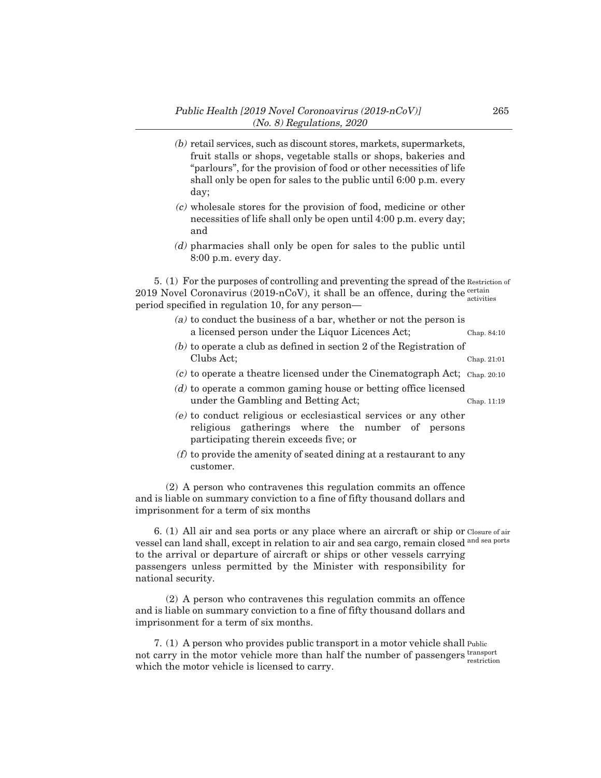- (b) retail services, such as discount stores, markets, supermarkets, fruit stalls or shops, vegetable stalls or shops, bakeries and "parlours", for the provision of food or other necessities of life shall only be open for sales to the public until 6:00 p.m. every day;
- (c) wholesale stores for the provision of food, medicine or other necessities of life shall only be open until 4:00 p.m. every day; and
- (d) pharmacies shall only be open for sales to the public until 8:00 p.m. every day.

5. (1) For the purposes of controlling and preventing the spread of the Restriction of 2019 Novel Coronavirus (2019-nCoV), it shall be an offence, during the  $\frac{\text{certain}}{\text{certain}}$ period specified in regulation 10, for any person– activities

- (a) to conduct the business of a bar, whether or not the person is a licensed person under the Liquor Licences Act; Chap. 84:10
- (b) to operate a club as defined in section 2 of the Registration of Clubs Act; Chap. 21:01
- (c) to operate a theatre licensed under the Cinematograph Act; Chap. 20:10
- (d) to operate a common gaming house or betting office licensed under the Gambling and Betting Act; Chap. 11:19
- (e) to conduct religious or ecclesiastical services or any other religious gatherings where the number of persons participating therein exceeds five; or
- $(f)$  to provide the amenity of seated dining at a restaurant to any customer.

(2) A person who contravenes this regulation commits an offence and is liable on summary conviction to a fine of fifty thousand dollars and imprisonment for a term of six months

6. (1) All air and sea ports or any place where an aircraft or ship or Closure of air vessel can land shall, except in relation to air and sea cargo, remain closed <sup>and sea ports</sup> to the arrival or departure of aircraft or ships or other vessels carrying passengers unless permitted by the Minister with responsibility for national security.

(2) A person who contravenes this regulation commits an offence and is liable on summary conviction to a fine of fifty thousand dollars and imprisonment for a term of six months.

7. (1) A person who provides public transport in a motor vehicle shall Public not carry in the motor vehicle more than half the number of passengers transport which the motor vehicle is licensed to carry. restriction